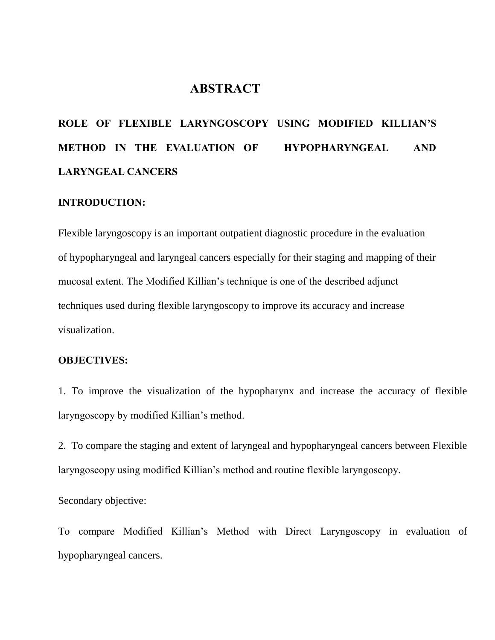## **ABSTRACT**

# **ROLE OF FLEXIBLE LARYNGOSCOPY USING MODIFIED KILLIAN'S METHOD IN THE EVALUATION OF HYPOPHARYNGEAL AND LARYNGEAL CANCERS**

#### **INTRODUCTION:**

Flexible laryngoscopy is an important outpatient diagnostic procedure in the evaluation of hypopharyngeal and laryngeal cancers especially for their staging and mapping of their mucosal extent. The Modified Killian's technique is one of the described adjunct techniques used during flexible laryngoscopy to improve its accuracy and increase visualization.

## **OBJECTIVES:**

1. To improve the visualization of the hypopharynx and increase the accuracy of flexible laryngoscopy by modified Killian's method.

2. To compare the staging and extent of laryngeal and hypopharyngeal cancers between Flexible laryngoscopy using modified Killian's method and routine flexible laryngoscopy.

Secondary objective:

To compare Modified Killian's Method with Direct Laryngoscopy in evaluation of hypopharyngeal cancers.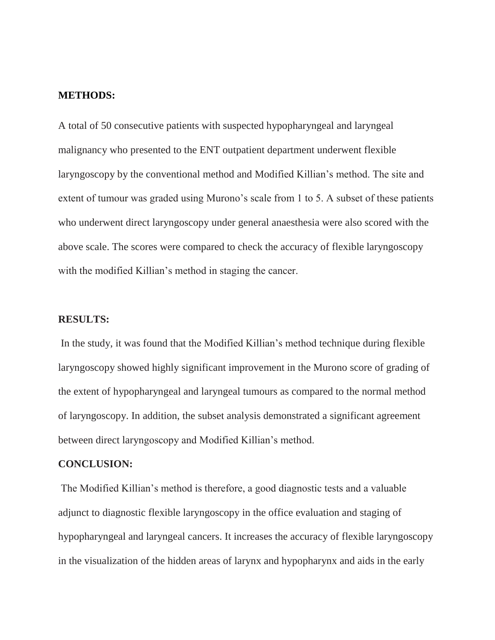### **METHODS:**

A total of 50 consecutive patients with suspected hypopharyngeal and laryngeal malignancy who presented to the ENT outpatient department underwent flexible laryngoscopy by the conventional method and Modified Killian's method. The site and extent of tumour was graded using Murono's scale from 1 to 5. A subset of these patients who underwent direct laryngoscopy under general anaesthesia were also scored with the above scale. The scores were compared to check the accuracy of flexible laryngoscopy with the modified Killian's method in staging the cancer.

#### **RESULTS:**

In the study, it was found that the Modified Killian's method technique during flexible laryngoscopy showed highly significant improvement in the Murono score of grading of the extent of hypopharyngeal and laryngeal tumours as compared to the normal method of laryngoscopy. In addition, the subset analysis demonstrated a significant agreement between direct laryngoscopy and Modified Killian's method.

### **CONCLUSION:**

The Modified Killian's method is therefore, a good diagnostic tests and a valuable adjunct to diagnostic flexible laryngoscopy in the office evaluation and staging of hypopharyngeal and laryngeal cancers. It increases the accuracy of flexible laryngoscopy in the visualization of the hidden areas of larynx and hypopharynx and aids in the early